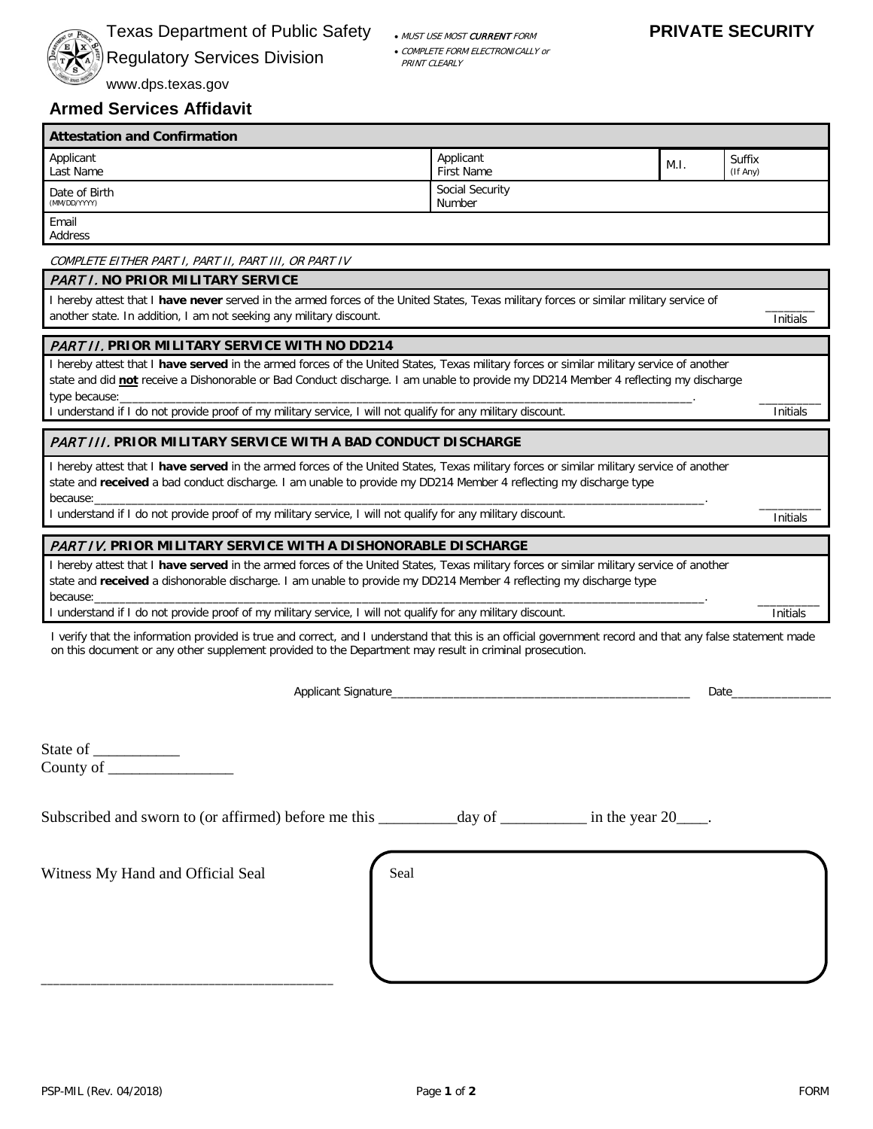

# Texas Department of Public Safety Accountable Must use MOST CURRENT FORM **PRIVATE SECURITY**

Regulatory Services Division • COMPLETE FORM ELECTRONICALLY or

PRINT CLEARLY

www.dps.texas.gov

# **Armed Services Affidavit**

| <b>Attestation and Confirmation</b> |                                |      |                    |  |
|-------------------------------------|--------------------------------|------|--------------------|--|
| Applicant<br>Last Name              | Applicant<br><b>First Name</b> | M.I. | Suffix<br>(If Any) |  |
| Date of Birth<br>(MM/DD/YYYY)       | Social Security<br>Number      |      |                    |  |
| Email<br>Address                    |                                |      |                    |  |

COMPLETE EITHER PART I, PART II, PART III, OR PART IV

# PART I. **NO PRIOR MILITARY SERVICE**

I hereby attest that I **have never** served in the armed forces of the United States, Texas military forces or similar military service of another state. In addition, I am not seeking any military discount.

## PART II. **PRIOR MILITARY SERVICE WITH NO DD214**

I hereby attest that I **have served** in the armed forces of the United States, Texas military forces or similar military service of another state and did **not** receive a Dishonorable or Bad Conduct discharge. I am unable to provide my DD214 Member 4 reflecting my discharge type because:\_\_\_\_\_\_\_\_\_\_\_\_\_\_\_\_\_\_\_\_\_\_\_\_\_\_\_\_\_\_\_\_\_\_\_\_\_\_\_\_\_\_\_\_\_\_\_\_\_\_\_\_\_\_\_\_\_\_\_\_\_\_\_\_\_\_\_\_\_\_\_\_\_\_\_\_\_\_\_\_\_\_\_\_\_\_\_\_\_\_\_\_.

I understand if I do not provide proof of my military service, I will not qualify for any military discount.

#### $\overline{\phantom{a}}$ **Initials**

Initials

 $\overline{\phantom{a}}$ Initials

Initials

## PART III. **PRIOR MILITARY SERVICE WITH A BAD CONDUCT DISCHARGE**

I hereby attest that I **have served** in the armed forces of the United States, Texas military forces or similar military service of another state and **received** a bad conduct discharge. I am unable to provide my DD214 Member 4 reflecting my discharge type because:\_\_\_\_\_\_\_\_\_\_\_\_\_\_\_\_\_\_\_\_\_\_\_\_\_\_\_\_\_\_\_\_\_\_\_\_\_\_\_\_\_\_\_\_\_\_\_\_\_\_\_\_\_\_\_\_\_\_\_\_\_\_\_\_\_\_\_\_\_\_\_\_\_\_\_\_\_\_\_\_\_\_\_\_\_\_\_\_\_\_\_\_\_\_\_\_\_\_.

I understand if I do not provide proof of my military service, I will not qualify for any military discount. \_\_\_\_\_\_\_\_\_\_

## PART IV. **PRIOR MILITARY SERVICE WITH A DISHONORABLE DISCHARGE**

I hereby attest that I **have served** in the armed forces of the United States, Texas military forces or similar military service of another state and **received** a dishonorable discharge. I am unable to provide my DD214 Member 4 reflecting my discharge type because:\_\_\_\_\_\_\_\_\_\_\_\_\_\_\_\_\_\_\_\_\_\_\_\_\_\_\_\_\_\_\_\_\_\_\_\_\_\_\_\_\_\_\_\_\_\_\_\_\_\_\_\_\_\_\_\_\_\_\_\_\_\_\_\_\_\_\_\_\_\_\_\_\_\_\_\_\_\_\_\_\_\_\_\_\_\_\_\_\_\_\_\_\_\_\_\_\_\_.

I understand if I do not provide proof of my military service, I will not qualify for any military discount.

I verify that the information provided is true and correct, and I understand that this is an official government record and that any false statement made on this document or any other supplement provided to the Department may result in criminal prosecution.

Applicant Signature\_\_\_\_\_\_\_\_\_\_\_\_\_\_\_\_\_\_\_\_\_\_\_\_\_\_\_\_\_\_\_\_\_\_\_\_\_\_\_\_\_\_\_\_\_\_\_\_ Date\_\_\_\_\_\_\_\_\_\_\_\_\_\_\_\_

State of County of \_\_\_\_\_\_\_\_\_\_\_\_\_\_\_\_

| Subscribed and sworn to (or affirmed) before me this | day of | in the year 20 |
|------------------------------------------------------|--------|----------------|
|------------------------------------------------------|--------|----------------|

Witness My Hand and Official Seal

\_\_\_\_\_\_\_\_\_\_\_\_\_\_\_\_\_\_\_\_\_\_\_\_\_\_\_\_\_\_\_\_\_\_\_\_\_\_\_\_\_\_\_\_\_\_\_

Seal